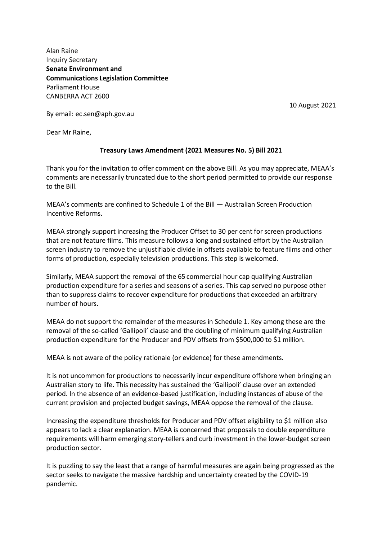Alan Raine Inquiry Secretary **Senate Environment and Communications Legislation Committee** Parliament House CANBERRA ACT 2600

10 August 2021

By email: ec.sen@aph.gov.au

Dear Mr Raine,

## **Treasury Laws Amendment (2021 Measures No. 5) Bill 2021**

Thank you for the invitation to offer comment on the above Bill. As you may appreciate, MEAA's comments are necessarily truncated due to the short period permitted to provide our response to the Bill.

MEAA's comments are confined to Schedule 1 of the Bill — Australian Screen Production Incentive Reforms.

MEAA strongly support increasing the Producer Offset to 30 per cent for screen productions that are not feature films. This measure follows a long and sustained effort by the Australian screen industry to remove the unjustifiable divide in offsets available to feature films and other forms of production, especially television productions. This step is welcomed.

Similarly, MEAA support the removal of the 65 commercial hour cap qualifying Australian production expenditure for a series and seasons of a series. This cap served no purpose other than to suppress claims to recover expenditure for productions that exceeded an arbitrary number of hours.

MEAA do not support the remainder of the measures in Schedule 1. Key among these are the removal of the so-called 'Gallipoli' clause and the doubling of minimum qualifying Australian production expenditure for the Producer and PDV offsets from \$500,000 to \$1 million.

MEAA is not aware of the policy rationale (or evidence) for these amendments.

It is not uncommon for productions to necessarily incur expenditure offshore when bringing an Australian story to life. This necessity has sustained the 'Gallipoli' clause over an extended period. In the absence of an evidence-based justification, including instances of abuse of the current provision and projected budget savings, MEAA oppose the removal of the clause.

Increasing the expenditure thresholds for Producer and PDV offset eligibility to \$1 million also appears to lack a clear explanation. MEAA is concerned that proposals to double expenditure requirements will harm emerging story-tellers and curb investment in the lower-budget screen production sector.

It is puzzling to say the least that a range of harmful measures are again being progressed as the sector seeks to navigate the massive hardship and uncertainty created by the COVID-19 pandemic.